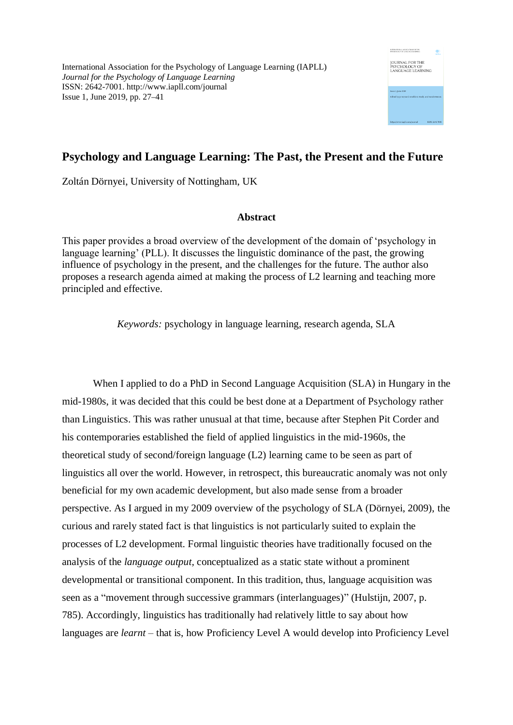International Association for the Psychology of Language Learning (IAPLL) *Journal for the Psychology of Language Learning* ISSN: 2642-7001. http://www.iapll.com/journal Issue 1, June 2019, pp. 27–41



# **Psychology and Language Learning: The Past, the Present and the Future**

Zoltán Dörnyei, University of Nottingham, UK

# **Abstract**

This paper provides a broad overview of the development of the domain of 'psychology in language learning' (PLL). It discusses the linguistic dominance of the past, the growing influence of psychology in the present, and the challenges for the future. The author also proposes a research agenda aimed at making the process of L2 learning and teaching more principled and effective.

*Keywords:* psychology in language learning, research agenda, SLA

When I applied to do a PhD in Second Language Acquisition (SLA) in Hungary in the mid-1980s, it was decided that this could be best done at a Department of Psychology rather than Linguistics. This was rather unusual at that time, because after Stephen Pit Corder and his contemporaries established the field of applied linguistics in the mid-1960s, the theoretical study of second/foreign language (L2) learning came to be seen as part of linguistics all over the world. However, in retrospect, this bureaucratic anomaly was not only beneficial for my own academic development, but also made sense from a broader perspective. As I argued in my 2009 overview of the psychology of SLA (Dörnyei, 2009), the curious and rarely stated fact is that linguistics is not particularly suited to explain the processes of L2 development. Formal linguistic theories have traditionally focused on the analysis of the *language output,* conceptualized as a static state without a prominent developmental or transitional component. In this tradition, thus, language acquisition was seen as a "movement through successive grammars (interlanguages)" (Hulstijn, 2007, p. 785). Accordingly, linguistics has traditionally had relatively little to say about how languages are *learnt* – that is, how Proficiency Level A would develop into Proficiency Level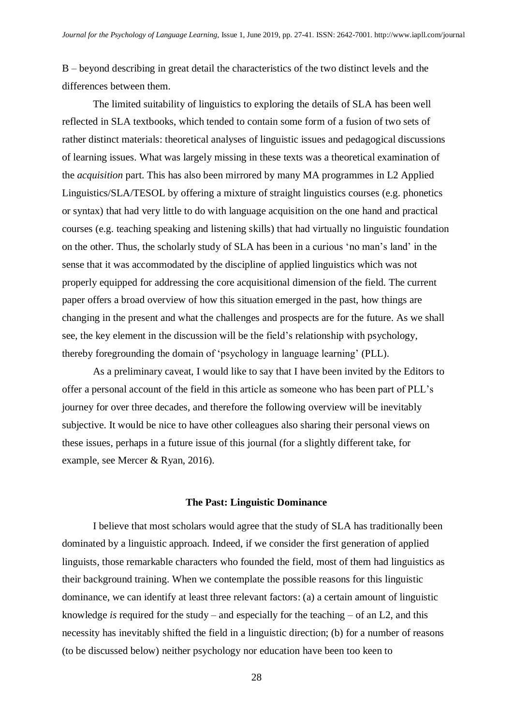B – beyond describing in great detail the characteristics of the two distinct levels and the differences between them.

The limited suitability of linguistics to exploring the details of SLA has been well reflected in SLA textbooks, which tended to contain some form of a fusion of two sets of rather distinct materials: theoretical analyses of linguistic issues and pedagogical discussions of learning issues. What was largely missing in these texts was a theoretical examination of the *acquisition* part. This has also been mirrored by many MA programmes in L2 Applied Linguistics/SLA/TESOL by offering a mixture of straight linguistics courses (e.g. phonetics or syntax) that had very little to do with language acquisition on the one hand and practical courses (e.g. teaching speaking and listening skills) that had virtually no linguistic foundation on the other. Thus, the scholarly study of SLA has been in a curious 'no man's land' in the sense that it was accommodated by the discipline of applied linguistics which was not properly equipped for addressing the core acquisitional dimension of the field. The current paper offers a broad overview of how this situation emerged in the past, how things are changing in the present and what the challenges and prospects are for the future. As we shall see, the key element in the discussion will be the field's relationship with psychology, thereby foregrounding the domain of 'psychology in language learning' (PLL).

As a preliminary caveat, I would like to say that I have been invited by the Editors to offer a personal account of the field in this article as someone who has been part of PLL's journey for over three decades, and therefore the following overview will be inevitably subjective. It would be nice to have other colleagues also sharing their personal views on these issues, perhaps in a future issue of this journal (for a slightly different take, for example, see Mercer & Ryan, 2016).

#### **The Past: Linguistic Dominance**

I believe that most scholars would agree that the study of SLA has traditionally been dominated by a linguistic approach. Indeed, if we consider the first generation of applied linguists, those remarkable characters who founded the field, most of them had linguistics as their background training. When we contemplate the possible reasons for this linguistic dominance, we can identify at least three relevant factors: (a) a certain amount of linguistic knowledge *is* required for the study – and especially for the teaching – of an L2, and this necessity has inevitably shifted the field in a linguistic direction; (b) for a number of reasons (to be discussed below) neither psychology nor education have been too keen to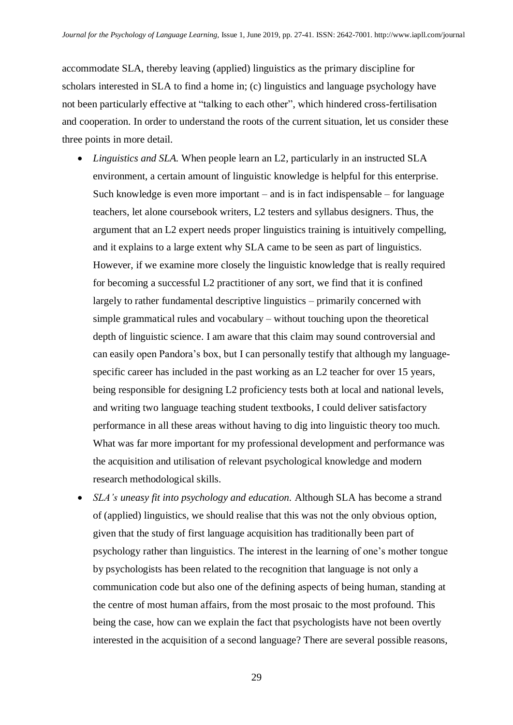accommodate SLA, thereby leaving (applied) linguistics as the primary discipline for scholars interested in SLA to find a home in; (c) linguistics and language psychology have not been particularly effective at "talking to each other", which hindered cross-fertilisation and cooperation. In order to understand the roots of the current situation, let us consider these three points in more detail.

- *Linguistics and SLA.* When people learn an L2, particularly in an instructed SLA environment, a certain amount of linguistic knowledge is helpful for this enterprise. Such knowledge is even more important  $-$  and is in fact indispensable  $-$  for language teachers, let alone coursebook writers, L2 testers and syllabus designers. Thus, the argument that an L2 expert needs proper linguistics training is intuitively compelling, and it explains to a large extent why SLA came to be seen as part of linguistics. However, if we examine more closely the linguistic knowledge that is really required for becoming a successful L2 practitioner of any sort, we find that it is confined largely to rather fundamental descriptive linguistics – primarily concerned with simple grammatical rules and vocabulary – without touching upon the theoretical depth of linguistic science. I am aware that this claim may sound controversial and can easily open Pandora's box, but I can personally testify that although my languagespecific career has included in the past working as an L2 teacher for over 15 years, being responsible for designing L2 proficiency tests both at local and national levels, and writing two language teaching student textbooks, I could deliver satisfactory performance in all these areas without having to dig into linguistic theory too much. What was far more important for my professional development and performance was the acquisition and utilisation of relevant psychological knowledge and modern research methodological skills.
- *SLA's uneasy fit into psychology and education.* Although SLA has become a strand of (applied) linguistics, we should realise that this was not the only obvious option, given that the study of first language acquisition has traditionally been part of psychology rather than linguistics. The interest in the learning of one's mother tongue by psychologists has been related to the recognition that language is not only a communication code but also one of the defining aspects of being human, standing at the centre of most human affairs, from the most prosaic to the most profound. This being the case, how can we explain the fact that psychologists have not been overtly interested in the acquisition of a second language? There are several possible reasons,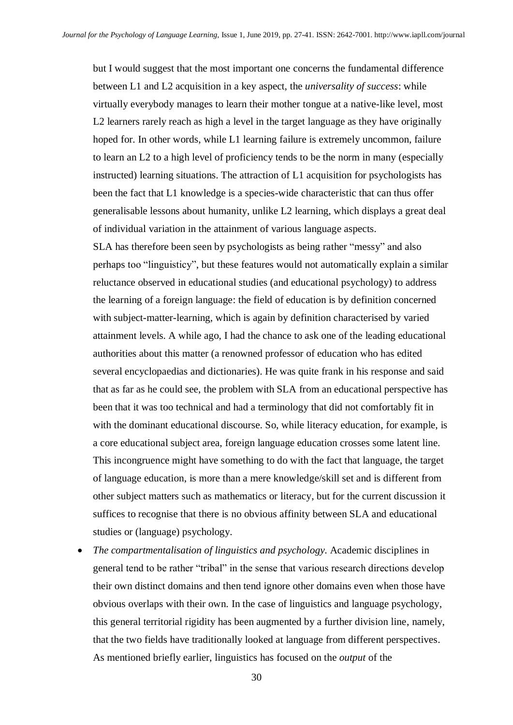but I would suggest that the most important one concerns the fundamental difference between L1 and L2 acquisition in a key aspect, the *universality of success*: while virtually everybody manages to learn their mother tongue at a native-like level, most L2 learners rarely reach as high a level in the target language as they have originally hoped for. In other words, while L1 learning failure is extremely uncommon, failure to learn an L2 to a high level of proficiency tends to be the norm in many (especially instructed) learning situations. The attraction of L1 acquisition for psychologists has been the fact that L1 knowledge is a species-wide characteristic that can thus offer generalisable lessons about humanity, unlike L2 learning, which displays a great deal of individual variation in the attainment of various language aspects.

SLA has therefore been seen by psychologists as being rather "messy" and also perhaps too "linguisticy", but these features would not automatically explain a similar reluctance observed in educational studies (and educational psychology) to address the learning of a foreign language: the field of education is by definition concerned with subject-matter-learning, which is again by definition characterised by varied attainment levels. A while ago, I had the chance to ask one of the leading educational authorities about this matter (a renowned professor of education who has edited several encyclopaedias and dictionaries). He was quite frank in his response and said that as far as he could see, the problem with SLA from an educational perspective has been that it was too technical and had a terminology that did not comfortably fit in with the dominant educational discourse. So, while literacy education, for example, is a core educational subject area, foreign language education crosses some latent line. This incongruence might have something to do with the fact that language, the target of language education, is more than a mere knowledge/skill set and is different from other subject matters such as mathematics or literacy, but for the current discussion it suffices to recognise that there is no obvious affinity between SLA and educational studies or (language) psychology.

• *The compartmentalisation of linguistics and psychology.* Academic disciplines in general tend to be rather "tribal" in the sense that various research directions develop their own distinct domains and then tend ignore other domains even when those have obvious overlaps with their own. In the case of linguistics and language psychology, this general territorial rigidity has been augmented by a further division line, namely, that the two fields have traditionally looked at language from different perspectives. As mentioned briefly earlier, linguistics has focused on the *output* of the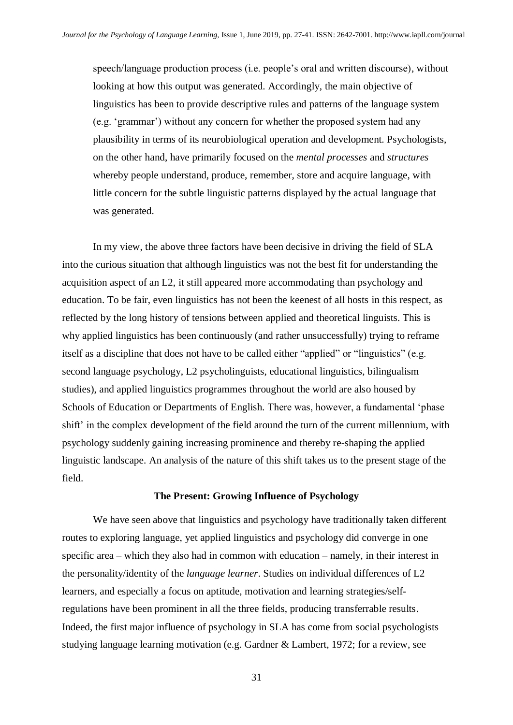speech/language production process (i.e. people's oral and written discourse), without looking at how this output was generated. Accordingly, the main objective of linguistics has been to provide descriptive rules and patterns of the language system (e.g. 'grammar') without any concern for whether the proposed system had any plausibility in terms of its neurobiological operation and development. Psychologists, on the other hand, have primarily focused on the *mental processes* and *structures* whereby people understand, produce, remember, store and acquire language, with little concern for the subtle linguistic patterns displayed by the actual language that was generated.

In my view, the above three factors have been decisive in driving the field of SLA into the curious situation that although linguistics was not the best fit for understanding the acquisition aspect of an L2, it still appeared more accommodating than psychology and education. To be fair, even linguistics has not been the keenest of all hosts in this respect, as reflected by the long history of tensions between applied and theoretical linguists. This is why applied linguistics has been continuously (and rather unsuccessfully) trying to reframe itself as a discipline that does not have to be called either "applied" or "linguistics" (e.g. second language psychology, L2 psycholinguists, educational linguistics, bilingualism studies), and applied linguistics programmes throughout the world are also housed by Schools of Education or Departments of English. There was, however, a fundamental 'phase shift' in the complex development of the field around the turn of the current millennium, with psychology suddenly gaining increasing prominence and thereby re-shaping the applied linguistic landscape. An analysis of the nature of this shift takes us to the present stage of the field.

# **The Present: Growing Influence of Psychology**

We have seen above that linguistics and psychology have traditionally taken different routes to exploring language, yet applied linguistics and psychology did converge in one specific area – which they also had in common with education – namely, in their interest in the personality/identity of the *language learner*. Studies on individual differences of L2 learners, and especially a focus on aptitude, motivation and learning strategies/selfregulations have been prominent in all the three fields, producing transferrable results. Indeed, the first major influence of psychology in SLA has come from social psychologists studying language learning motivation (e.g. Gardner & Lambert, 1972; for a review, see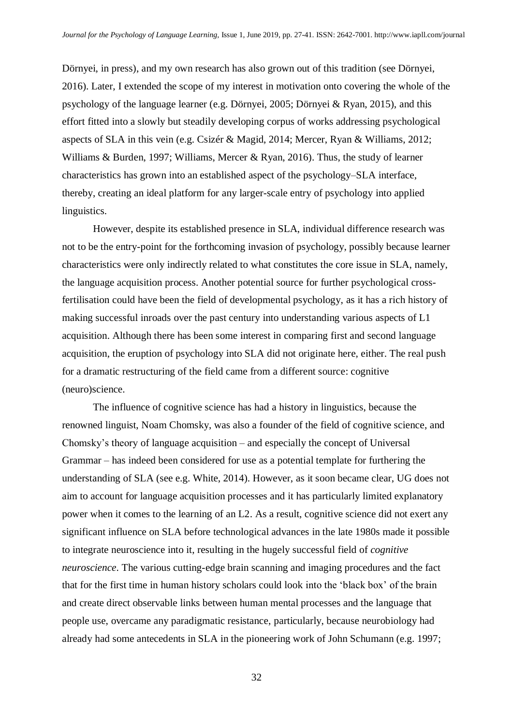Dörnyei, in press), and my own research has also grown out of this tradition (see Dörnyei, 2016). Later, I extended the scope of my interest in motivation onto covering the whole of the psychology of the language learner (e.g. Dörnyei, 2005; Dörnyei & Ryan, 2015), and this effort fitted into a slowly but steadily developing corpus of works addressing psychological aspects of SLA in this vein (e.g. Csizér & Magid, 2014; Mercer, Ryan & Williams, 2012; Williams & Burden, 1997; Williams, Mercer & Ryan, 2016). Thus, the study of learner characteristics has grown into an established aspect of the psychology–SLA interface, thereby, creating an ideal platform for any larger-scale entry of psychology into applied linguistics.

However, despite its established presence in SLA, individual difference research was not to be the entry-point for the forthcoming invasion of psychology, possibly because learner characteristics were only indirectly related to what constitutes the core issue in SLA, namely, the language acquisition process. Another potential source for further psychological crossfertilisation could have been the field of developmental psychology, as it has a rich history of making successful inroads over the past century into understanding various aspects of L1 acquisition. Although there has been some interest in comparing first and second language acquisition, the eruption of psychology into SLA did not originate here, either. The real push for a dramatic restructuring of the field came from a different source: cognitive (neuro)science.

The influence of cognitive science has had a history in linguistics, because the renowned linguist, Noam Chomsky, was also a founder of the field of cognitive science, and Chomsky's theory of language acquisition – and especially the concept of Universal Grammar – has indeed been considered for use as a potential template for furthering the understanding of SLA (see e.g. White, 2014). However, as it soon became clear, UG does not aim to account for language acquisition processes and it has particularly limited explanatory power when it comes to the learning of an L2. As a result, cognitive science did not exert any significant influence on SLA before technological advances in the late 1980s made it possible to integrate neuroscience into it, resulting in the hugely successful field of *cognitive neuroscience*. The various cutting-edge brain scanning and imaging procedures and the fact that for the first time in human history scholars could look into the 'black box' of the brain and create direct observable links between human mental processes and the language that people use, overcame any paradigmatic resistance, particularly, because neurobiology had already had some antecedents in SLA in the pioneering work of John Schumann (e.g. 1997;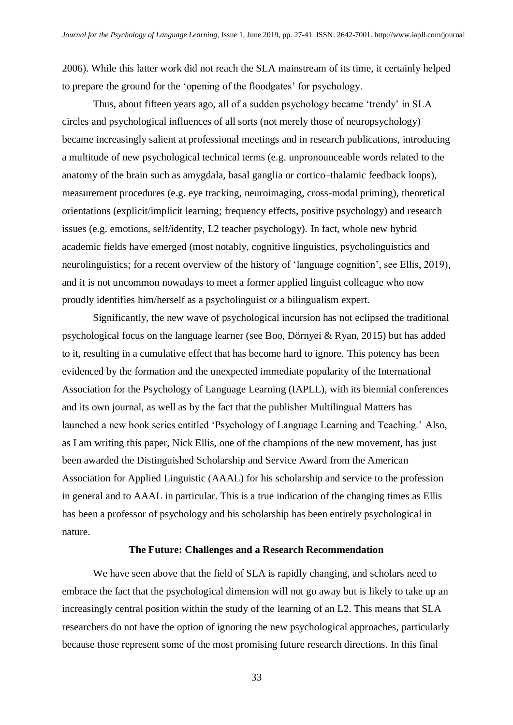2006). While this latter work did not reach the SLA mainstream of its time, it certainly helped to prepare the ground for the 'opening of the floodgates' for psychology.

Thus, about fifteen years ago, all of a sudden psychology became 'trendy' in SLA circles and psychological influences of all sorts (not merely those of neuropsychology) became increasingly salient at professional meetings and in research publications, introducing a multitude of new psychological technical terms (e.g. unpronounceable words related to the anatomy of the brain such as amygdala, basal ganglia or cortico–thalamic feedback loops), measurement procedures (e.g. eye tracking, neuroimaging, cross-modal priming), theoretical orientations (explicit/implicit learning; frequency effects, positive psychology) and research issues (e.g. emotions, self/identity, L2 teacher psychology). In fact, whole new hybrid academic fields have emerged (most notably, cognitive linguistics, psycholinguistics and neurolinguistics; for a recent overview of the history of 'language cognition', see Ellis, 2019), and it is not uncommon nowadays to meet a former applied linguist colleague who now proudly identifies him/herself as a psycholinguist or a bilingualism expert.

Significantly, the new wave of psychological incursion has not eclipsed the traditional psychological focus on the language learner (see Boo, Dörnyei & Ryan, 2015) but has added to it, resulting in a cumulative effect that has become hard to ignore. This potency has been evidenced by the formation and the unexpected immediate popularity of the International Association for the Psychology of Language Learning (IAPLL), with its biennial conferences and its own journal, as well as by the fact that the publisher Multilingual Matters has launched a new book series entitled 'Psychology of Language Learning and Teaching.' Also, as I am writing this paper, Nick Ellis, one of the champions of the new movement, has just been awarded the Distinguished Scholarship and Service Award from the American Association for Applied Linguistic (AAAL) for his scholarship and service to the profession in general and to AAAL in particular. This is a true indication of the changing times as Ellis has been a professor of psychology and his scholarship has been entirely psychological in nature.

#### **The Future: Challenges and a Research Recommendation**

We have seen above that the field of SLA is rapidly changing, and scholars need to embrace the fact that the psychological dimension will not go away but is likely to take up an increasingly central position within the study of the learning of an L2. This means that SLA researchers do not have the option of ignoring the new psychological approaches, particularly because those represent some of the most promising future research directions. In this final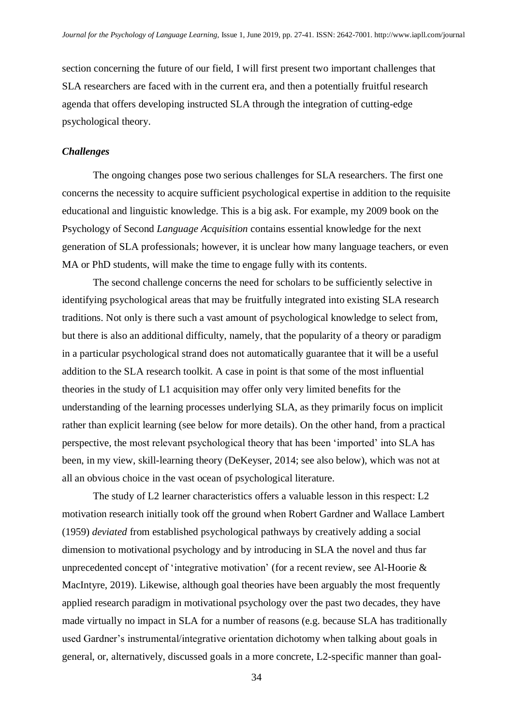section concerning the future of our field, I will first present two important challenges that SLA researchers are faced with in the current era, and then a potentially fruitful research agenda that offers developing instructed SLA through the integration of cutting-edge psychological theory.

#### *Challenges*

The ongoing changes pose two serious challenges for SLA researchers. The first one concerns the necessity to acquire sufficient psychological expertise in addition to the requisite educational and linguistic knowledge. This is a big ask. For example, my 2009 book on the Psychology of Second *Language Acquisition* contains essential knowledge for the next generation of SLA professionals; however, it is unclear how many language teachers, or even MA or PhD students, will make the time to engage fully with its contents.

The second challenge concerns the need for scholars to be sufficiently selective in identifying psychological areas that may be fruitfully integrated into existing SLA research traditions. Not only is there such a vast amount of psychological knowledge to select from, but there is also an additional difficulty, namely, that the popularity of a theory or paradigm in a particular psychological strand does not automatically guarantee that it will be a useful addition to the SLA research toolkit. A case in point is that some of the most influential theories in the study of L1 acquisition may offer only very limited benefits for the understanding of the learning processes underlying SLA, as they primarily focus on implicit rather than explicit learning (see below for more details). On the other hand, from a practical perspective, the most relevant psychological theory that has been 'imported' into SLA has been, in my view, skill-learning theory (DeKeyser, 2014; see also below), which was not at all an obvious choice in the vast ocean of psychological literature.

The study of L2 learner characteristics offers a valuable lesson in this respect: L2 motivation research initially took off the ground when Robert Gardner and Wallace Lambert (1959) *deviated* from established psychological pathways by creatively adding a social dimension to motivational psychology and by introducing in SLA the novel and thus far unprecedented concept of 'integrative motivation' (for a recent review, see Al-Hoorie & MacIntyre, 2019). Likewise, although goal theories have been arguably the most frequently applied research paradigm in motivational psychology over the past two decades, they have made virtually no impact in SLA for a number of reasons (e.g. because SLA has traditionally used Gardner's instrumental/integrative orientation dichotomy when talking about goals in general, or, alternatively, discussed goals in a more concrete, L2-specific manner than goal-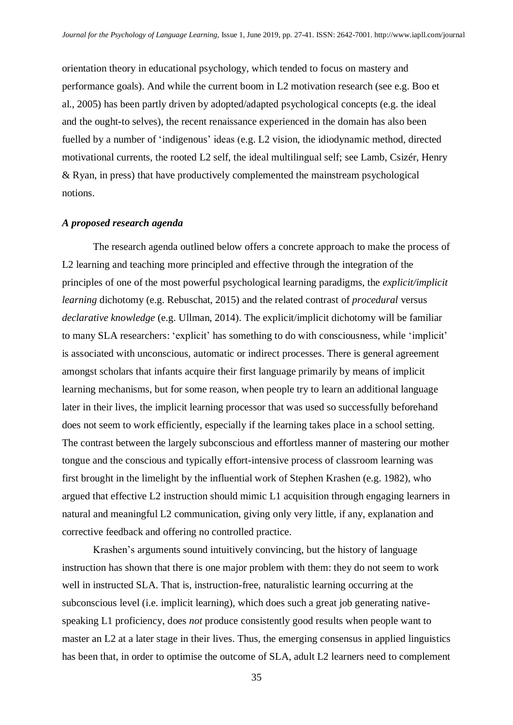orientation theory in educational psychology, which tended to focus on mastery and performance goals). And while the current boom in L2 motivation research (see e.g. Boo et al., 2005) has been partly driven by adopted/adapted psychological concepts (e.g. the ideal and the ought-to selves), the recent renaissance experienced in the domain has also been fuelled by a number of 'indigenous' ideas (e.g. L2 vision, the idiodynamic method, directed motivational currents, the rooted L2 self, the ideal multilingual self; see Lamb, Csizér, Henry & Ryan, in press) that have productively complemented the mainstream psychological notions.

## *A proposed research agenda*

The research agenda outlined below offers a concrete approach to make the process of L2 learning and teaching more principled and effective through the integration of the principles of one of the most powerful psychological learning paradigms, the *explicit/implicit learning* dichotomy (e.g. Rebuschat, 2015) and the related contrast of *procedural* versus *declarative knowledge* (e.g. Ullman, 2014). The explicit/implicit dichotomy will be familiar to many SLA researchers: 'explicit' has something to do with consciousness, while 'implicit' is associated with unconscious, automatic or indirect processes. There is general agreement amongst scholars that infants acquire their first language primarily by means of implicit learning mechanisms, but for some reason, when people try to learn an additional language later in their lives, the implicit learning processor that was used so successfully beforehand does not seem to work efficiently, especially if the learning takes place in a school setting. The contrast between the largely subconscious and effortless manner of mastering our mother tongue and the conscious and typically effort-intensive process of classroom learning was first brought in the limelight by the influential work of Stephen Krashen (e.g. 1982), who argued that effective L2 instruction should mimic L1 acquisition through engaging learners in natural and meaningful L2 communication, giving only very little, if any, explanation and corrective feedback and offering no controlled practice.

Krashen's arguments sound intuitively convincing, but the history of language instruction has shown that there is one major problem with them: they do not seem to work well in instructed SLA. That is, instruction-free, naturalistic learning occurring at the subconscious level (i.e. implicit learning), which does such a great job generating nativespeaking L1 proficiency, does *not* produce consistently good results when people want to master an L2 at a later stage in their lives. Thus, the emerging consensus in applied linguistics has been that, in order to optimise the outcome of SLA, adult L2 learners need to complement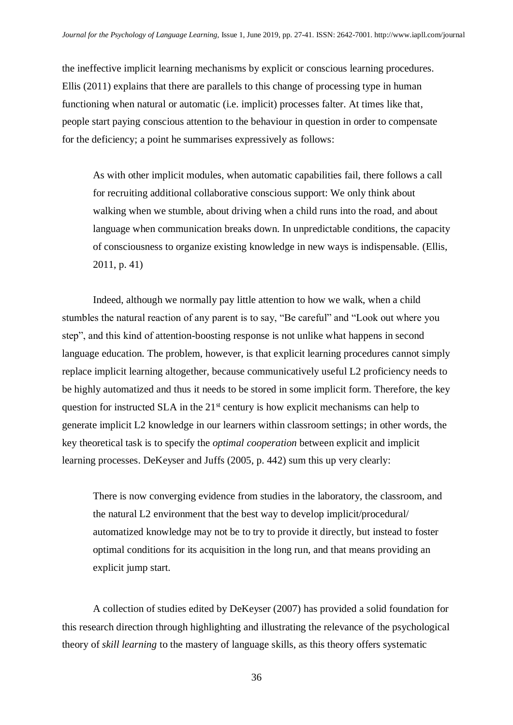the ineffective implicit learning mechanisms by explicit or conscious learning procedures. Ellis (2011) explains that there are parallels to this change of processing type in human functioning when natural or automatic (i.e. implicit) processes falter. At times like that, people start paying conscious attention to the behaviour in question in order to compensate for the deficiency; a point he summarises expressively as follows:

As with other implicit modules, when automatic capabilities fail, there follows a call for recruiting additional collaborative conscious support: We only think about walking when we stumble, about driving when a child runs into the road, and about language when communication breaks down. In unpredictable conditions, the capacity of consciousness to organize existing knowledge in new ways is indispensable. (Ellis, 2011, p. 41)

Indeed, although we normally pay little attention to how we walk, when a child stumbles the natural reaction of any parent is to say, "Be careful" and "Look out where you step", and this kind of attention-boosting response is not unlike what happens in second language education. The problem, however, is that explicit learning procedures cannot simply replace implicit learning altogether, because communicatively useful L2 proficiency needs to be highly automatized and thus it needs to be stored in some implicit form. Therefore, the key question for instructed SLA in the  $21<sup>st</sup>$  century is how explicit mechanisms can help to generate implicit L2 knowledge in our learners within classroom settings; in other words, the key theoretical task is to specify the *optimal cooperation* between explicit and implicit learning processes. DeKeyser and Juffs (2005, p. 442) sum this up very clearly:

There is now converging evidence from studies in the laboratory, the classroom, and the natural L2 environment that the best way to develop implicit/procedural/ automatized knowledge may not be to try to provide it directly, but instead to foster optimal conditions for its acquisition in the long run, and that means providing an explicit jump start.

A collection of studies edited by DeKeyser (2007) has provided a solid foundation for this research direction through highlighting and illustrating the relevance of the psychological theory of *skill learning* to the mastery of language skills, as this theory offers systematic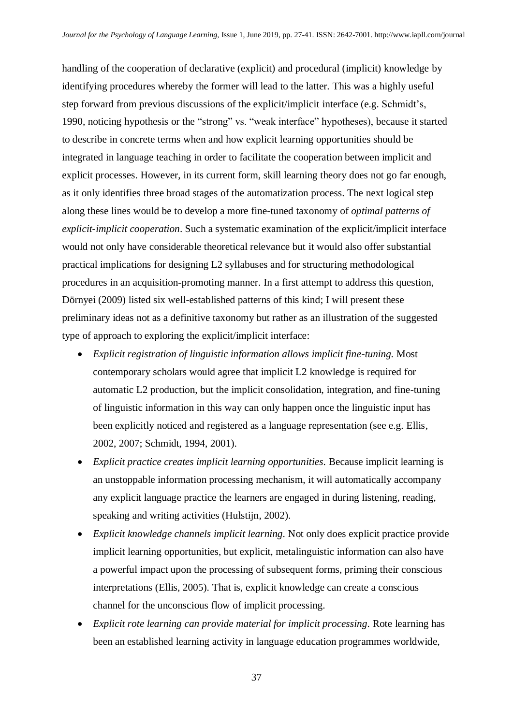handling of the cooperation of declarative (explicit) and procedural (implicit) knowledge by identifying procedures whereby the former will lead to the latter. This was a highly useful step forward from previous discussions of the explicit/implicit interface (e.g. Schmidt's, 1990, noticing hypothesis or the "strong" vs. "weak interface" hypotheses), because it started to describe in concrete terms when and how explicit learning opportunities should be integrated in language teaching in order to facilitate the cooperation between implicit and explicit processes. However, in its current form, skill learning theory does not go far enough, as it only identifies three broad stages of the automatization process. The next logical step along these lines would be to develop a more fine-tuned taxonomy of *optimal patterns of explicit-implicit cooperation*. Such a systematic examination of the explicit/implicit interface would not only have considerable theoretical relevance but it would also offer substantial practical implications for designing L2 syllabuses and for structuring methodological procedures in an acquisition-promoting manner. In a first attempt to address this question, Dörnyei (2009) listed six well-established patterns of this kind; I will present these preliminary ideas not as a definitive taxonomy but rather as an illustration of the suggested type of approach to exploring the explicit/implicit interface:

- *Explicit registration of linguistic information allows implicit fine-tuning.* Most contemporary scholars would agree that implicit L2 knowledge is required for automatic L2 production, but the implicit consolidation, integration, and fine-tuning of linguistic information in this way can only happen once the linguistic input has been explicitly noticed and registered as a language representation (see e.g. Ellis, 2002, 2007; Schmidt, 1994, 2001).
- *Explicit practice creates implicit learning opportunities.* Because implicit learning is an unstoppable information processing mechanism, it will automatically accompany any explicit language practice the learners are engaged in during listening, reading, speaking and writing activities (Hulstijn, 2002).
- *Explicit knowledge channels implicit learning.* Not only does explicit practice provide implicit learning opportunities, but explicit, metalinguistic information can also have a powerful impact upon the processing of subsequent forms, priming their conscious interpretations (Ellis, 2005). That is, explicit knowledge can create a conscious channel for the unconscious flow of implicit processing.
- *Explicit rote learning can provide material for implicit processing.* Rote learning has been an established learning activity in language education programmes worldwide,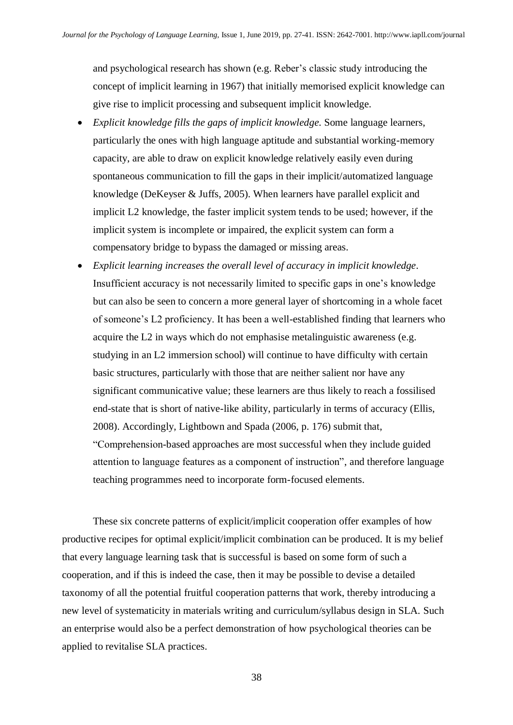and psychological research has shown (e.g. Reber's classic study introducing the concept of implicit learning in 1967) that initially memorised explicit knowledge can give rise to implicit processing and subsequent implicit knowledge.

- *Explicit knowledge fills the gaps of implicit knowledge.* Some language learners, particularly the ones with high language aptitude and substantial working-memory capacity, are able to draw on explicit knowledge relatively easily even during spontaneous communication to fill the gaps in their implicit/automatized language knowledge (DeKeyser & Juffs, 2005). When learners have parallel explicit and implicit L2 knowledge, the faster implicit system tends to be used; however, if the implicit system is incomplete or impaired, the explicit system can form a compensatory bridge to bypass the damaged or missing areas.
- *Explicit learning increases the overall level of accuracy in implicit knowledge.* Insufficient accuracy is not necessarily limited to specific gaps in one's knowledge but can also be seen to concern a more general layer of shortcoming in a whole facet of someone's L2 proficiency. It has been a well-established finding that learners who acquire the L2 in ways which do not emphasise metalinguistic awareness (e.g. studying in an L2 immersion school) will continue to have difficulty with certain basic structures, particularly with those that are neither salient nor have any significant communicative value; these learners are thus likely to reach a fossilised end-state that is short of native-like ability, particularly in terms of accuracy (Ellis, 2008). Accordingly, Lightbown and Spada (2006, p. 176) submit that, "Comprehension-based approaches are most successful when they include guided attention to language features as a component of instruction", and therefore language teaching programmes need to incorporate form-focused elements.

These six concrete patterns of explicit/implicit cooperation offer examples of how productive recipes for optimal explicit/implicit combination can be produced. It is my belief that every language learning task that is successful is based on some form of such a cooperation, and if this is indeed the case, then it may be possible to devise a detailed taxonomy of all the potential fruitful cooperation patterns that work, thereby introducing a new level of systematicity in materials writing and curriculum/syllabus design in SLA. Such an enterprise would also be a perfect demonstration of how psychological theories can be applied to revitalise SLA practices.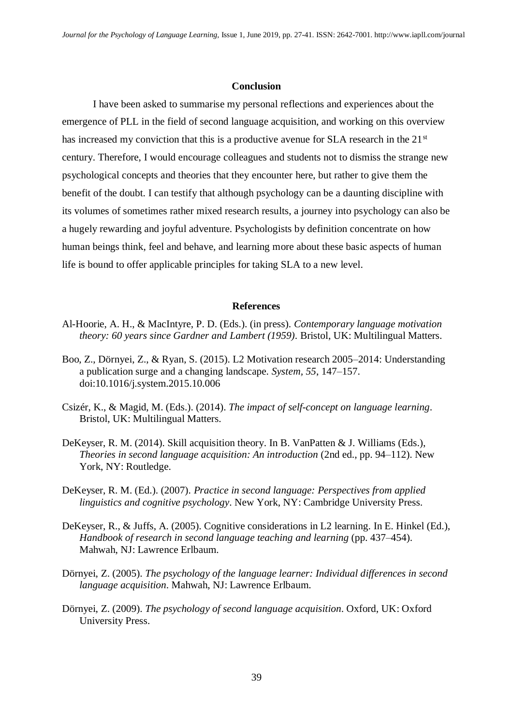#### **Conclusion**

I have been asked to summarise my personal reflections and experiences about the emergence of PLL in the field of second language acquisition, and working on this overview has increased my conviction that this is a productive avenue for SLA research in the 21<sup>st</sup> century. Therefore, I would encourage colleagues and students not to dismiss the strange new psychological concepts and theories that they encounter here, but rather to give them the benefit of the doubt. I can testify that although psychology can be a daunting discipline with its volumes of sometimes rather mixed research results, a journey into psychology can also be a hugely rewarding and joyful adventure. Psychologists by definition concentrate on how human beings think, feel and behave, and learning more about these basic aspects of human life is bound to offer applicable principles for taking SLA to a new level.

## **References**

- Al-Hoorie, A. H., & MacIntyre, P. D. (Eds.). (in press). *Contemporary language motivation theory: 60 years since Gardner and Lambert (1959)*. Bristol, UK: Multilingual Matters.
- Boo, Z., Dörnyei, Z., & Ryan, S. (2015). L2 Motivation research 2005–2014: Understanding a publication surge and a changing landscape. *System, 55*, 147–157. doi:10.1016/j.system.2015.10.006
- Csizér, K., & Magid, M. (Eds.). (2014). *The impact of self-concept on language learning*. Bristol, UK: Multilingual Matters.
- DeKeyser, R. M. (2014). Skill acquisition theory. In B. VanPatten & J. Williams (Eds.), *Theories in second language acquisition: An introduction* (2nd ed., pp. 94–112). New York, NY: Routledge.
- DeKeyser, R. M. (Ed.). (2007). *Practice in second language: Perspectives from applied linguistics and cognitive psychology*. New York, NY: Cambridge University Press.
- DeKeyser, R., & Juffs, A. (2005). Cognitive considerations in L2 learning. In E. Hinkel (Ed.), *Handbook of research in second language teaching and learning* (pp. 437–454). Mahwah, NJ: Lawrence Erlbaum.
- Dörnyei, Z. (2005). *The psychology of the language learner: Individual differences in second language acquisition*. Mahwah, NJ: Lawrence Erlbaum.
- Dörnyei, Z. (2009). *The psychology of second language acquisition*. Oxford, UK: Oxford University Press.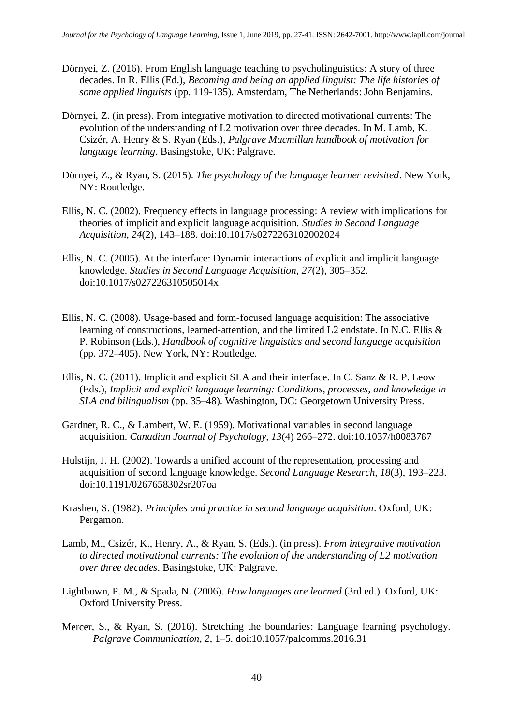- Dörnyei, Z. (2016). From English language teaching to psycholinguistics: A story of three decades. In R. Ellis (Ed.), *Becoming and being an applied linguist: The life histories of some applied linguists* (pp. 119-135). Amsterdam, The Netherlands: John Benjamins.
- Dörnyei, Z. (in press). From integrative motivation to directed motivational currents: The evolution of the understanding of L2 motivation over three decades. In M. Lamb, K. Csizér, A. Henry & S. Ryan (Eds.), *Palgrave Macmillan handbook of motivation for language learning*. Basingstoke, UK: Palgrave.
- Dörnyei, Z., & Ryan, S. (2015). *The psychology of the language learner revisited*. New York, NY: Routledge.
- Ellis, N. C. (2002). Frequency effects in language processing: A review with implications for theories of implicit and explicit language acquisition. *Studies in Second Language Acquisition, 24*(2), 143–188. doi:10.1017/s0272263102002024
- Ellis, N. C. (2005). At the interface: Dynamic interactions of explicit and implicit language knowledge. *Studies in Second Language Acquisition, 27*(2), 305–352. doi:10.1017/s027226310505014x
- Ellis, N. C. (2008). Usage-based and form-focused language acquisition: The associative learning of constructions, learned-attention, and the limited L2 endstate. In N.C. Ellis & P. Robinson (Eds.), *Handbook of cognitive linguistics and second language acquisition* (pp. 372–405). New York, NY: Routledge.
- Ellis, N. C. (2011). Implicit and explicit SLA and their interface. In C. Sanz & R. P. Leow (Eds.), *Implicit and explicit language learning: Conditions, processes, and knowledge in SLA and bilingualism* (pp. 35–48). Washington, DC: Georgetown University Press.
- Gardner, R. C., & Lambert, W. E. (1959). Motivational variables in second language acquisition. *Canadian Journal of Psychology, 13*(4) 266–272. doi:10.1037/h0083787
- Hulstijn, J. H. (2002). Towards a unified account of the representation, processing and acquisition of second language knowledge. *Second Language Research, 18*(3), 193–223. doi:10.1191/0267658302sr207oa
- Krashen, S. (1982). *Principles and practice in second language acquisition*. Oxford, UK: Pergamon.
- Lamb, M., Csizér, K., Henry, A., & Ryan, S. (Eds.). (in press). *From integrative motivation to directed motivational currents: The evolution of the understanding of L2 motivation over three decades*. Basingstoke, UK: Palgrave.
- Lightbown, P. M., & Spada, N. (2006). *How languages are learned* (3rd ed.). Oxford, UK: Oxford University Press.
- Mercer, S., & Ryan, S. (2016). Stretching the boundaries: Language learning psychology. *Palgrave Communication, 2*, 1–5. doi:10.1057/palcomms.2016.31